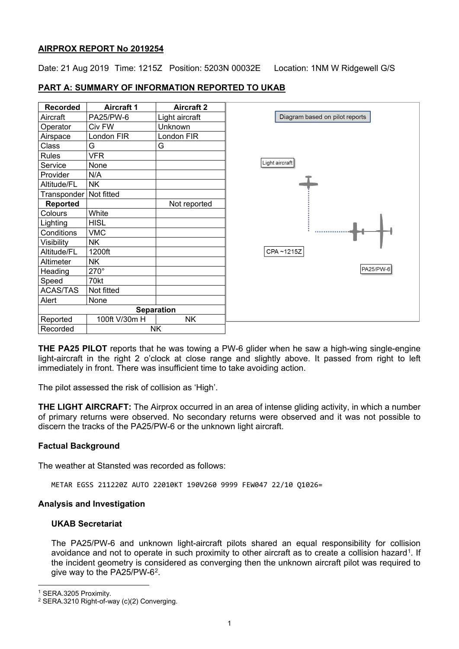## **AIRPROX REPORT No 2019254**

Date: 21 Aug 2019 Time: 1215Z Position: 5203N 00032E Location: 1NM W Ridgewell G/S

# **PART A: SUMMARY OF INFORMATION REPORTED TO UKAB**

| <b>Recorded</b> | <b>Aircraft 1</b> | <b>Aircraft 2</b> |                                |
|-----------------|-------------------|-------------------|--------------------------------|
| Aircraft        | PA25/PW-6         | Light aircraft    | Diagram based on pilot reports |
| Operator        | Civ FW            | Unknown           |                                |
| Airspace        | London FIR        | London FIR        |                                |
| <b>Class</b>    | G                 | G                 |                                |
| <b>Rules</b>    | <b>VFR</b>        |                   |                                |
| Service         | None              |                   | Light aircraft                 |
| Provider        | N/A               |                   |                                |
| Altitude/FL     | <b>NK</b>         |                   |                                |
| Transponder     | Not fitted        |                   |                                |
| <b>Reported</b> |                   | Not reported      |                                |
| Colours         | White             |                   |                                |
| Lighting        | <b>HISL</b>       |                   |                                |
| Conditions      | <b>VMC</b>        |                   |                                |
| Visibility      | <b>NK</b>         |                   |                                |
| Altitude/FL     | 1200ft            |                   | CPA~1215Z                      |
| Altimeter       | <b>NK</b>         |                   |                                |
| Heading         | $270^\circ$       |                   |                                |
| Speed           | 70kt              |                   |                                |
| <b>ACAS/TAS</b> | Not fitted        |                   |                                |
| Alert           | None              |                   |                                |
|                 | <b>Separation</b> |                   |                                |
| Reported        | 100ft V/30m H     | <b>NK</b>         |                                |
| Recorded        |                   | <b>NK</b>         |                                |

**THE PA25 PILOT** reports that he was towing a PW-6 glider when he saw a high-wing single-engine light-aircraft in the right 2 o'clock at close range and slightly above. It passed from right to left immediately in front. There was insufficient time to take avoiding action.

The pilot assessed the risk of collision as 'High'.

**THE LIGHT AIRCRAFT:** The Airprox occurred in an area of intense gliding activity, in which a number of primary returns were observed. No secondary returns were observed and it was not possible to discern the tracks of the PA25/PW-6 or the unknown light aircraft.

## **Factual Background**

The weather at Stansted was recorded as follows:

METAR EGSS 211220Z AUTO 22010KT 190V260 9999 FEW047 22/10 Q1026=

## **Analysis and Investigation**

## **UKAB Secretariat**

The PA25/PW-6 and unknown light-aircraft pilots shared an equal responsibility for collision avoidance and not to operate in such proximity to other aircraft as to create a collision hazard<sup>1</sup>. If the incident geometry is considered as converging then the unknown aircraft pilot was required to give way to the PA25/PW-6[2.](#page-0-1)

 $\overline{\phantom{a}}$ 

<span id="page-0-0"></span><sup>1</sup> SERA.3205 Proximity.

<span id="page-0-1"></span><sup>&</sup>lt;sup>2</sup> SERA.3210 Right-of-way (c)(2) Converging.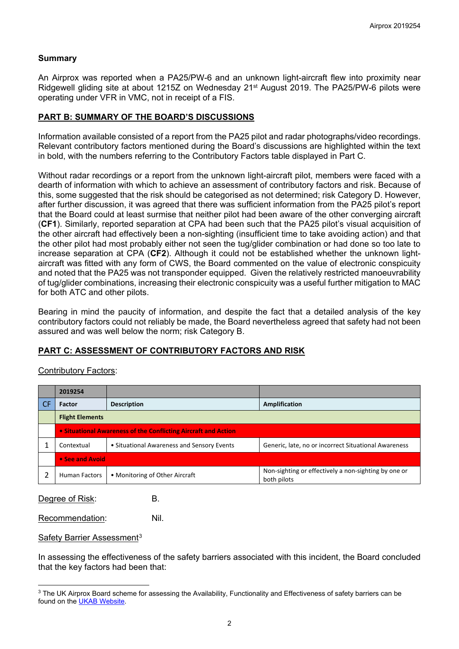### **Summary**

An Airprox was reported when a PA25/PW-6 and an unknown light-aircraft flew into proximity near Ridgewell gliding site at about 1215Z on Wednesday 21<sup>st</sup> August 2019. The PA25/PW-6 pilots were operating under VFR in VMC, not in receipt of a FIS.

#### **PART B: SUMMARY OF THE BOARD'S DISCUSSIONS**

Information available consisted of a report from the PA25 pilot and radar photographs/video recordings. Relevant contributory factors mentioned during the Board's discussions are highlighted within the text in bold, with the numbers referring to the Contributory Factors table displayed in Part C.

Without radar recordings or a report from the unknown light-aircraft pilot, members were faced with a dearth of information with which to achieve an assessment of contributory factors and risk. Because of this, some suggested that the risk should be categorised as not determined; risk Category D. However, after further discussion, it was agreed that there was sufficient information from the PA25 pilot's report that the Board could at least surmise that neither pilot had been aware of the other converging aircraft (**CF1**). Similarly, reported separation at CPA had been such that the PA25 pilot's visual acquisition of the other aircraft had effectively been a non-sighting (insufficient time to take avoiding action) and that the other pilot had most probably either not seen the tug/glider combination or had done so too late to increase separation at CPA (**CF2**). Although it could not be established whether the unknown lightaircraft was fitted with any form of CWS, the Board commented on the value of electronic conspicuity and noted that the PA25 was not transponder equipped. Given the relatively restricted manoeuvrability of tug/glider combinations, increasing their electronic conspicuity was a useful further mitigation to MAC for both ATC and other pilots.

Bearing in mind the paucity of information, and despite the fact that a detailed analysis of the key contributory factors could not reliably be made, the Board nevertheless agreed that safety had not been assured and was well below the norm; risk Category B.

## **PART C: ASSESSMENT OF CONTRIBUTORY FACTORS AND RISK**

#### Contributory Factors:

|    | 2019254                                                        |                                            |                                                                     |  |  |  |  |
|----|----------------------------------------------------------------|--------------------------------------------|---------------------------------------------------------------------|--|--|--|--|
| CF | Factor                                                         | <b>Description</b>                         | Amplification                                                       |  |  |  |  |
|    | <b>Flight Elements</b>                                         |                                            |                                                                     |  |  |  |  |
|    | • Situational Awareness of the Conflicting Aircraft and Action |                                            |                                                                     |  |  |  |  |
|    | Contextual                                                     | • Situational Awareness and Sensory Events | Generic, late, no or incorrect Situational Awareness                |  |  |  |  |
|    | • See and Avoid                                                |                                            |                                                                     |  |  |  |  |
|    | • Monitoring of Other Aircraft<br><b>Human Factors</b>         |                                            | Non-sighting or effectively a non-sighting by one or<br>both pilots |  |  |  |  |

Degree of Risk: B.

Recommendation: Nil.

#### Safety Barrier Assessment<sup>[3](#page-1-0)</sup>

 $\overline{\phantom{a}}$ 

In assessing the effectiveness of the safety barriers associated with this incident, the Board concluded that the key factors had been that:

<span id="page-1-0"></span><sup>&</sup>lt;sup>3</sup> The UK Airprox Board scheme for assessing the Availability, Functionality and Effectiveness of safety barriers can be found on the [UKAB Website.](http://www.airproxboard.org.uk/Learn-more/Airprox-Barrier-Assessment/)